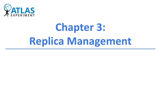

# **Chapter 3: Replica Management**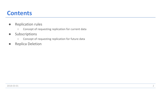#### **Contents**

- **●** Replication rules
	- **○** Concept of requesting replication for current data
- **●** Subscriptions
	- **○** Concept of requesting replication for future data
- **●** Replica Deletion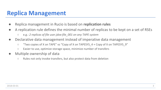### **Replica Management**

- **●** Replica management in Rucio is based on **replication rules**
- A replication rule defines the minimal number of replicas to be kept on a set of RSEs
	- **○** e.g.: *2 replicas of file user.jdoe:file\_001 on any TAPE system*
- **●** Declarative data management instead of imperative data management
	- **○** "Two copies of X on TAPE" vs "Copy of X on TAPESYS\_4 + Copy of X on TAPESYS\_9"
	- **○** Easier to use, optimize storage space, minimize number of transfers
- **●** Multiple ownership of data
	- **○** Rules not only invoke transfers, but also protect data from deletion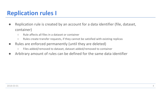# **Replication rules I**

- **●** Replication rule is created by an account for a data identifier (file, dataset, container)
	- **○** Rule affects all files in a dataset or container
	- **○** Rules create transfer requests, if they cannot be satisfied with existing replicas
- **●** Rules are enforced permanently (until they are deleted)
	- **○** Files added/removed to dataset, dataset added/removed to container
- **●** Arbitrary amount of rules can be defined for the same data identifier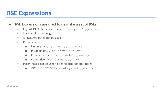#### **RSE Expressions**

#### **●** RSE Expressions are used to describe a set of RSEs

- **○** E.g.: All DISK RSEs in Germany: country=de&type=disk
- **○** Set-complete language
- **○** All RSE Attributes can be used
- **○** Primitives:
	- **■** Union |: country=us|country=fr
	- Intersections &: country=us & tier=1
	- Complements \: country=de \type=tape
	- **■** Comparison > <: freespace>150
- **○** Parentheses can be used to define order of operations
	- CERN\_EOSDISK|(country=de&type=disk)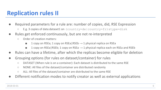# **Replication rules II**

- **●** Required parameters for a rule are: number of copies, did, RSE Expression
	- **○** E.g. 3 copies of data:dataset1 on (country=de|country=fr)&type=disk
- **●** Rules get enforced continuously, but are not re-interpreted
	- **○** Order of creation matters:
		- **■** 1 copy on RSEa; 1 copy on RSEa|RSEb → 1 physical replica on RSEa
		- **■** 1 copy on RSEa|RSEb; 1 copy on RSEa → 1 physical replica each on RSEa and RSEb
- **●** Rules can have a lifetime, after which the replicas become eligible for deletion
- **●** Grouping options (for rules on dataset/container) for rules
	- **○** DATASET (When rule is on a container): Each dataset is distributed to the same RSE
	- **○** NONE: All files of the dataset/container are distributed randomly
	- **○** ALL: All files of the dataset/container are distributed to the same RSE
- **●** Different notification modes to notify creator as well as external applications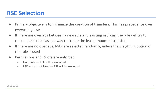#### **RSE Selection**

- **●** Primary objective is to **minimize the creation of transfers**; This has precedence over everything else
- **●** If there are overlaps between a new rule and existing replicas, the rule will try to re-use these replicas in a way to create the least amount of transfers
- **●** If there are no overlaps, RSEs are selected randomly, unless the weighting option of the rule is used
- **●** Permissions and Quota are enforced
	- **○** No Quota → RSE will be excluded
	- **○** RSE write blacklisted → RSE will be excluded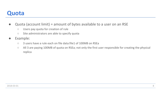#### **Quota**

- **●** Quota (account limit) = amount of bytes available to a user on an RSE
	- **○** Users pay quota for creation of rule
	- **○** Site administrators are able to specify quota
- **●** Example:
	- **○** 3 users have a rule each on file data:file1 of 100MB on RSEa
	- **○** All 3 are paying 100MB of quota on RSEa; not only the first user responsible for creating the physical replica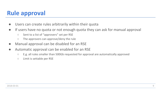# **Rule approval**

- **●** Users can create rules arbitrarily within their quota
- **●** If users have no quota or not enough quota they can ask for manual approval
	- **○** Sent to a list of "approvers" set per RSE
	- **○** The approvers can approve/deny the rule
- **●** Manual approval can be disabled for an RSE
- **●** Automatic approval can be enabled for an RSE
	- **○** E.g. all rules smaller than 500Gb requested for approval are automatically approved
	- **○** Limit is settable per RSE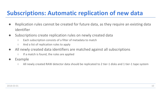## **Subscriptions: Automatic replication of new data**

- **●** Replication rules cannot be created for future data, as they require an existing data identifier
- **●** Subscriptions create replication rules on newly created data
	- **○** Each subscription consists of a filter of metadata to match
	- **○** And a list of replication rules to apply
- **●** All newly created data identifiers are matched against all subscriptions
	- **○** If a match is found, the rules are applied
- **●** Example
	- **○** All newly created RAW detector data should be replicated to 2 tier-1 disks and 1 tier-1 tape system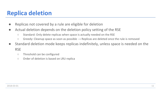# **Replica deletion**

- **●** Replicas not covered by a rule are eligible for deletion
- **●** Actual deletion depends on the deletion policy setting of the RSE
	- **○** Standard: Only delete replicas when space is actually needed on the RSE
	- **○** Greedy: Cleanup space as soon as possible → Replicas are deleted once the rule is removed
- **●** Standard deletion mode keeps replicas indefinitely, unless space is needed on the RSE
	- **○** Threshold can be configured
	- **○** Order of deletion is based on LRU replica